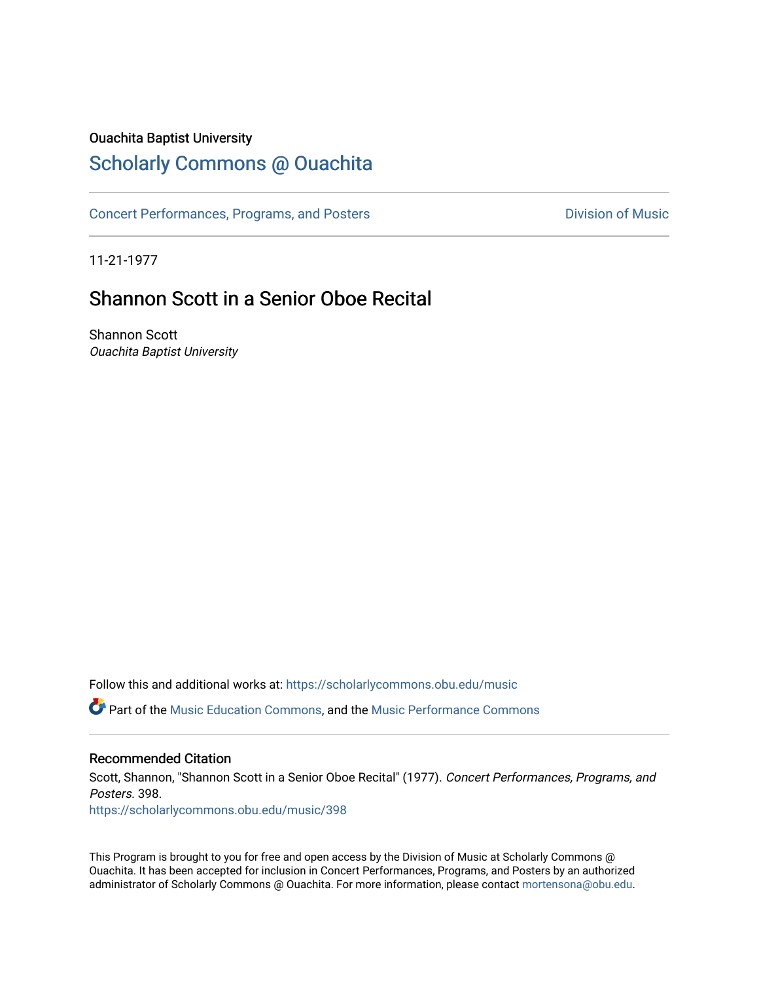### Ouachita Baptist University

### [Scholarly Commons @ Ouachita](https://scholarlycommons.obu.edu/)

[Concert Performances, Programs, and Posters](https://scholarlycommons.obu.edu/music) **Division of Music** Division of Music

11-21-1977

## Shannon Scott in a Senior Oboe Recital

Shannon Scott Ouachita Baptist University

Follow this and additional works at: [https://scholarlycommons.obu.edu/music](https://scholarlycommons.obu.edu/music?utm_source=scholarlycommons.obu.edu%2Fmusic%2F398&utm_medium=PDF&utm_campaign=PDFCoverPages) 

**C** Part of the [Music Education Commons,](http://network.bepress.com/hgg/discipline/1246?utm_source=scholarlycommons.obu.edu%2Fmusic%2F398&utm_medium=PDF&utm_campaign=PDFCoverPages) and the Music Performance Commons

#### Recommended Citation

Scott, Shannon, "Shannon Scott in a Senior Oboe Recital" (1977). Concert Performances, Programs, and Posters. 398.

[https://scholarlycommons.obu.edu/music/398](https://scholarlycommons.obu.edu/music/398?utm_source=scholarlycommons.obu.edu%2Fmusic%2F398&utm_medium=PDF&utm_campaign=PDFCoverPages) 

This Program is brought to you for free and open access by the Division of Music at Scholarly Commons @ Ouachita. It has been accepted for inclusion in Concert Performances, Programs, and Posters by an authorized administrator of Scholarly Commons @ Ouachita. For more information, please contact [mortensona@obu.edu](mailto:mortensona@obu.edu).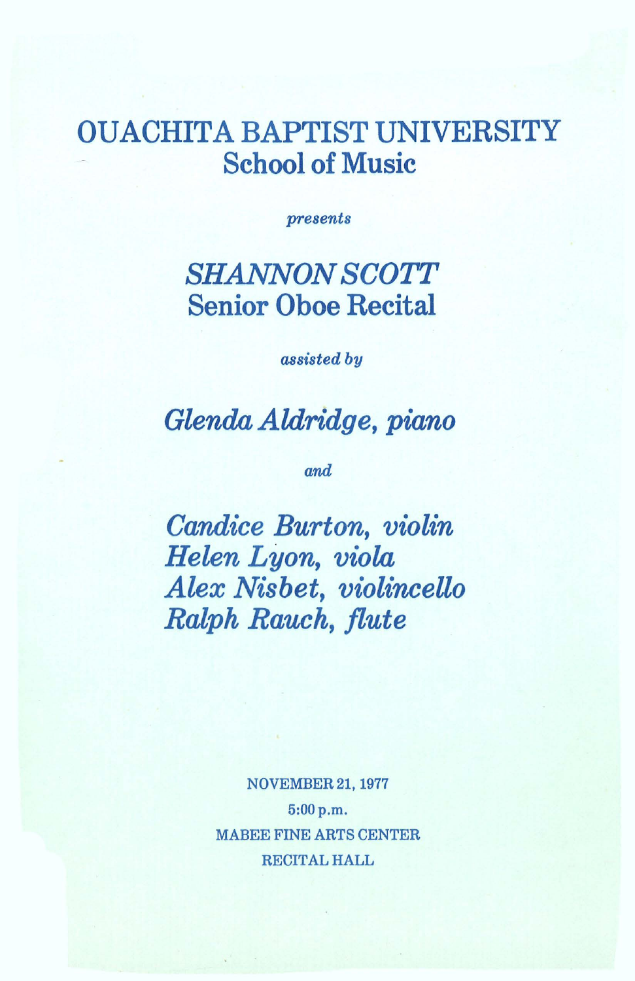# OUACHITA BAPTIST UNIVERSITY School of Music

*presents* 

## *SHANNON SCOTT*  Senior Oboe Recital

*assisted by* 

*Glenda Aldridge, piano* 

*and* 

*Candice Burton, violin Helen Lyon, viola Alex Nisbet, violinceUo Ralph Rauch, flute* 

> NOVEMBER 21, 1977 5:00p.m. MABEE FINE ARTS CENTER RECITAL HALL